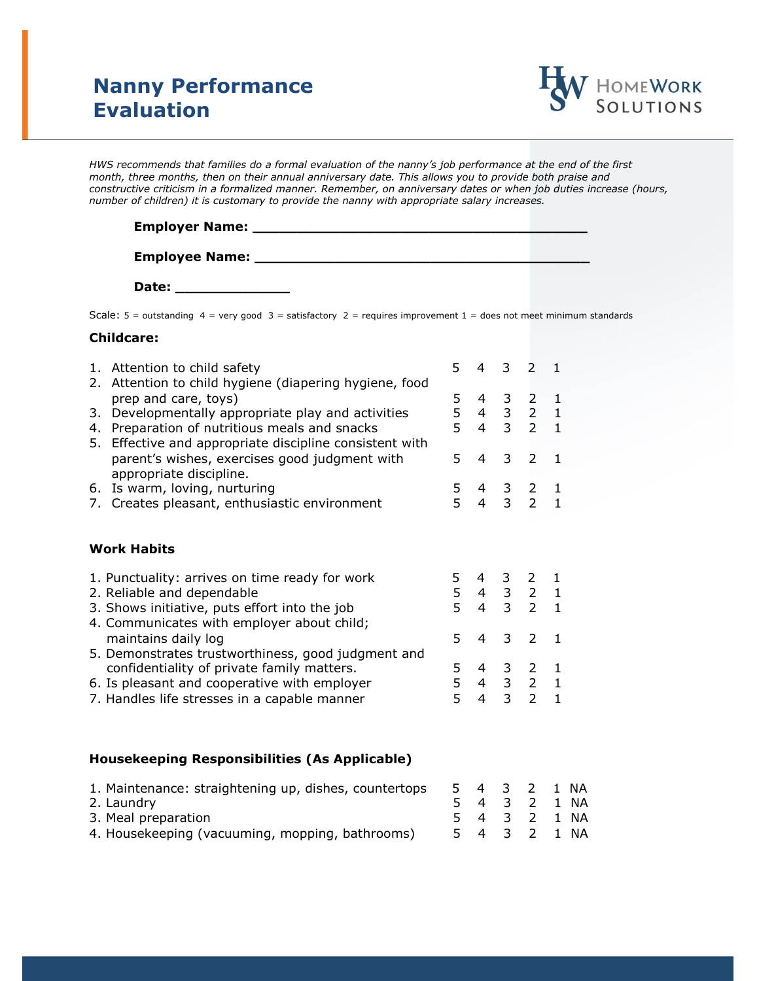## **Nanny Performance Evaluation**



*HWS recommends that families do a formal evaluation of the nanny's job performance at the end of the first month, three months, then on their annual anniversary date. This allows you to provide both praise and constructive criticism in a formalized manner. Remember, on anniversary dates or when job duties increase (hours, number of children) it is customary to provide the nanny with appropriate salary increases.*

| <b>Employer Name:</b> |  |
|-----------------------|--|
|                       |  |
| <b>Employee Name:</b> |  |

**Date: \_\_\_\_\_\_\_\_\_\_\_\_\_**

Scale:  $5 =$  outstanding  $4 =$  very good  $3 =$  satisfactory  $2 =$  requires improvement  $1 =$  does not meet minimum standards

## **Childcare:**

|  | 1. Attention to child safety<br>Attention to child hygiene (diapering hygiene, food<br>2.<br>prep and care, toys)<br>Developmentally appropriate play and activities<br>3.<br>Preparation of nutritious meals and snacks<br>4.<br>5. Effective and appropriate discipline consistent with | 5.           | 4                   |                     | $3 \quad 2$                                                                                     | -1           |  |
|--|-------------------------------------------------------------------------------------------------------------------------------------------------------------------------------------------------------------------------------------------------------------------------------------------|--------------|---------------------|---------------------|-------------------------------------------------------------------------------------------------|--------------|--|
|  |                                                                                                                                                                                                                                                                                           | 5.<br>5<br>5 |                     |                     | 4 3 2 1<br>$\begin{array}{ccccc} 4 & 3 & 2 & 1 \\ 4 & 3 & 2 & 1 \end{array}$                    |              |  |
|  | parent's wishes, exercises good judgment with<br>appropriate discipline.                                                                                                                                                                                                                  | 5            | 4                   |                     | 3 <sub>2</sub>                                                                                  | $\mathbf{1}$ |  |
|  | 6. Is warm, loving, nurturing<br>7. Creates pleasant, enthusiastic environment                                                                                                                                                                                                            | 5<br>5       |                     |                     | $\begin{array}{cccc} 4 & 3 & 2 & 1 \\ 4 & 3 & 2 & 1 \end{array}$                                |              |  |
|  | <b>Work Habits</b>                                                                                                                                                                                                                                                                        |              |                     |                     |                                                                                                 |              |  |
|  | 1. Punctuality: arrives on time ready for work<br>2. Reliable and dependable<br>3. Shows initiative, puts effort into the job<br>4. Communicates with employer about child;                                                                                                               |              |                     |                     | $\begin{array}{cccccc} 5 & 4 & 3 & 2 & 1 \\ 5 & 4 & 3 & 2 & 1 \\ 5 & 4 & 3 & 2 & 1 \end{array}$ |              |  |
|  | maintains daily log<br>5. Demonstrates trustworthiness, good judgment and                                                                                                                                                                                                                 | 5            | 4                   | 3                   | $\mathcal{L}$                                                                                   | 1            |  |
|  | confidentiality of private family matters.<br>6. Is pleasant and cooperative with employer<br>7. Handles life stresses in a capable manner                                                                                                                                                | 5<br>5<br>5  | $\overline{4}$<br>4 | 3 <sup>7</sup><br>3 | $2^{\circ}$<br>4 3 2 1<br>$\overline{2}$                                                        | 1            |  |

## **Housekeeping Responsibilities (As Applicable)**

| 1. Maintenance: straightening up, dishes, countertops |  | 54321NA      |  |
|-------------------------------------------------------|--|--------------|--|
| 2. Laundry                                            |  | 5 4 3 2 1 NA |  |
| 3. Meal preparation                                   |  | 5 4 3 2 1 NA |  |
| 4. Housekeeping (vacuuming, mopping, bathrooms)       |  | 5 4 3 2 1 NA |  |